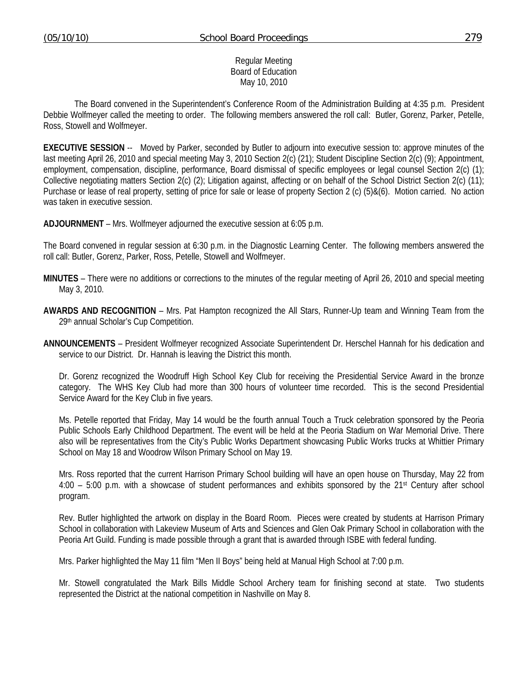Board of Education May 10, 2010

Regular Meeting

 The Board convened in the Superintendent's Conference Room of the Administration Building at 4:35 p.m. President Debbie Wolfmeyer called the meeting to order. The following members answered the roll call: Butler, Gorenz, Parker, Petelle, Ross, Stowell and Wolfmeyer.

**EXECUTIVE SESSION** -- Moved by Parker, seconded by Butler to adjourn into executive session to: approve minutes of the last meeting April 26, 2010 and special meeting May 3, 2010 Section 2(c) (21); Student Discipline Section 2(c) (9); Appointment, employment, compensation, discipline, performance, Board dismissal of specific employees or legal counsel Section 2(c) (1); Collective negotiating matters Section 2(c) (2); Litigation against, affecting or on behalf of the School District Section 2(c) (11); Purchase or lease of real property, setting of price for sale or lease of property Section 2 (c) (5)&(6). Motion carried. No action was taken in executive session.

**ADJOURNMENT** – Mrs. Wolfmeyer adjourned the executive session at 6:05 p.m.

The Board convened in regular session at 6:30 p.m. in the Diagnostic Learning Center. The following members answered the roll call: Butler, Gorenz, Parker, Ross, Petelle, Stowell and Wolfmeyer.

- **MINUTES** There were no additions or corrections to the minutes of the regular meeting of April 26, 2010 and special meeting May 3, 2010.
- **AWARDS AND RECOGNITION** Mrs. Pat Hampton recognized the All Stars, Runner-Up team and Winning Team from the 29th annual Scholar's Cup Competition.
- **ANNOUNCEMENTS** President Wolfmeyer recognized Associate Superintendent Dr. Herschel Hannah for his dedication and service to our District. Dr. Hannah is leaving the District this month.

 Dr. Gorenz recognized the Woodruff High School Key Club for receiving the Presidential Service Award in the bronze category. The WHS Key Club had more than 300 hours of volunteer time recorded. This is the second Presidential Service Award for the Key Club in five years.

 Ms. Petelle reported that Friday, May 14 would be the fourth annual Touch a Truck celebration sponsored by the Peoria Public Schools Early Childhood Department. The event will be held at the Peoria Stadium on War Memorial Drive. There also will be representatives from the City's Public Works Department showcasing Public Works trucks at Whittier Primary School on May 18 and Woodrow Wilson Primary School on May 19.

 Mrs. Ross reported that the current Harrison Primary School building will have an open house on Thursday, May 22 from 4:00 – 5:00 p.m. with a showcase of student performances and exhibits sponsored by the 21st Century after school program.

 Rev. Butler highlighted the artwork on display in the Board Room. Pieces were created by students at Harrison Primary School in collaboration with Lakeview Museum of Arts and Sciences and Glen Oak Primary School in collaboration with the Peoria Art Guild. Funding is made possible through a grant that is awarded through ISBE with federal funding.

Mrs. Parker highlighted the May 11 film "Men II Boys" being held at Manual High School at 7:00 p.m.

 Mr. Stowell congratulated the Mark Bills Middle School Archery team for finishing second at state. Two students represented the District at the national competition in Nashville on May 8.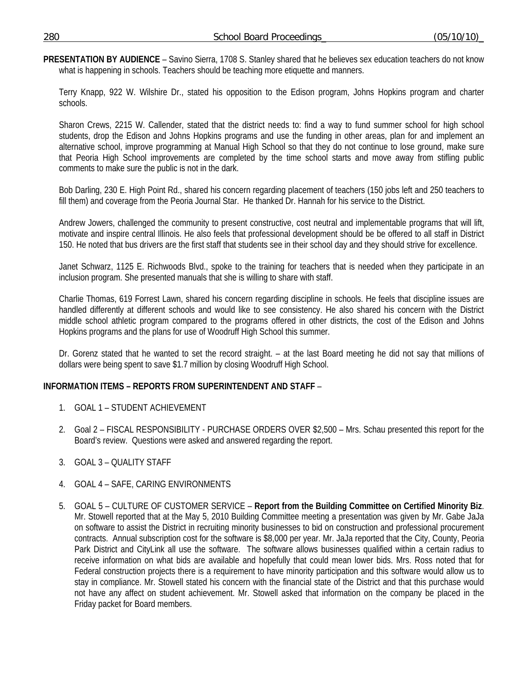**PRESENTATION BY AUDIENCE** – Savino Sierra, 1708 S. Stanley shared that he believes sex education teachers do not know what is happening in schools. Teachers should be teaching more etiquette and manners.

 Terry Knapp, 922 W. Wilshire Dr., stated his opposition to the Edison program, Johns Hopkins program and charter schools.

 Sharon Crews, 2215 W. Callender, stated that the district needs to: find a way to fund summer school for high school students, drop the Edison and Johns Hopkins programs and use the funding in other areas, plan for and implement an alternative school, improve programming at Manual High School so that they do not continue to lose ground, make sure that Peoria High School improvements are completed by the time school starts and move away from stifling public comments to make sure the public is not in the dark.

 Bob Darling, 230 E. High Point Rd., shared his concern regarding placement of teachers (150 jobs left and 250 teachers to fill them) and coverage from the Peoria Journal Star. He thanked Dr. Hannah for his service to the District.

 Andrew Jowers, challenged the community to present constructive, cost neutral and implementable programs that will lift, motivate and inspire central Illinois. He also feels that professional development should be be offered to all staff in District 150. He noted that bus drivers are the first staff that students see in their school day and they should strive for excellence.

 Janet Schwarz, 1125 E. Richwoods Blvd., spoke to the training for teachers that is needed when they participate in an inclusion program. She presented manuals that she is willing to share with staff.

 Charlie Thomas, 619 Forrest Lawn, shared his concern regarding discipline in schools. He feels that discipline issues are handled differently at different schools and would like to see consistency. He also shared his concern with the District middle school athletic program compared to the programs offered in other districts, the cost of the Edison and Johns Hopkins programs and the plans for use of Woodruff High School this summer.

 Dr. Gorenz stated that he wanted to set the record straight. – at the last Board meeting he did not say that millions of dollars were being spent to save \$1.7 million by closing Woodruff High School.

## **INFORMATION ITEMS – REPORTS FROM SUPERINTENDENT AND STAFF** –

- 1. GOAL 1 STUDENT ACHIEVEMENT
- 2. Goal 2 FISCAL RESPONSIBILITY PURCHASE ORDERS OVER \$2,500 Mrs. Schau presented this report for the Board's review. Questions were asked and answered regarding the report.
- 3. GOAL 3 QUALITY STAFF
- 4. GOAL 4 SAFE, CARING ENVIRONMENTS
- 5. GOAL 5 CULTURE OF CUSTOMER SERVICE **Report from the Building Committee on Certified Minority Biz**. Mr. Stowell reported that at the May 5, 2010 Building Committee meeting a presentation was given by Mr. Gabe JaJa on software to assist the District in recruiting minority businesses to bid on construction and professional procurement contracts. Annual subscription cost for the software is \$8,000 per year. Mr. JaJa reported that the City, County, Peoria Park District and CityLink all use the software. The software allows businesses qualified within a certain radius to receive information on what bids are available and hopefully that could mean lower bids. Mrs. Ross noted that for Federal construction projects there is a requirement to have minority participation and this software would allow us to stay in compliance. Mr. Stowell stated his concern with the financial state of the District and that this purchase would not have any affect on student achievement. Mr. Stowell asked that information on the company be placed in the Friday packet for Board members.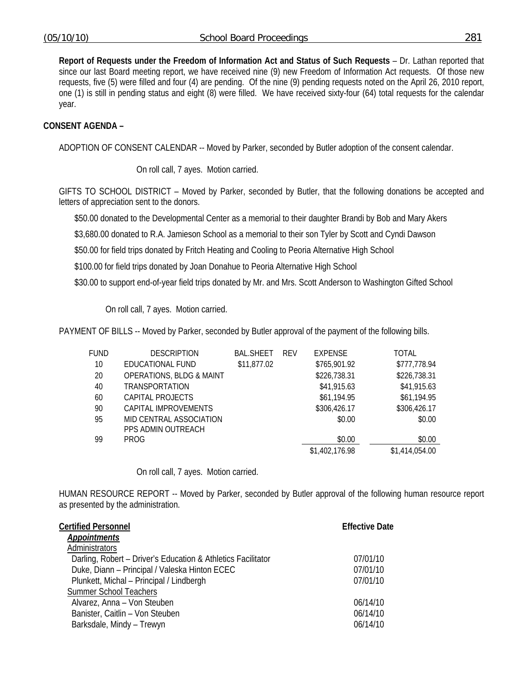**Report of Requests under the Freedom of Information Act and Status of Such Requests** – Dr. Lathan reported that since our last Board meeting report, we have received nine (9) new Freedom of Information Act requests. Of those new requests, five (5) were filled and four (4) are pending. Of the nine (9) pending requests noted on the April 26, 2010 report, one (1) is still in pending status and eight (8) were filled. We have received sixty-four (64) total requests for the calendar year.

# **CONSENT AGENDA –**

ADOPTION OF CONSENT CALENDAR -- Moved by Parker, seconded by Butler adoption of the consent calendar.

On roll call, 7 ayes. Motion carried.

GIFTS TO SCHOOL DISTRICT – Moved by Parker, seconded by Butler, that the following donations be accepted and letters of appreciation sent to the donors.

\$50.00 donated to the Developmental Center as a memorial to their daughter Brandi by Bob and Mary Akers

\$3,680.00 donated to R.A. Jamieson School as a memorial to their son Tyler by Scott and Cyndi Dawson

\$50.00 for field trips donated by Fritch Heating and Cooling to Peoria Alternative High School

\$100.00 for field trips donated by Joan Donahue to Peoria Alternative High School

\$30.00 to support end-of-year field trips donated by Mr. and Mrs. Scott Anderson to Washington Gifted School

On roll call, 7 ayes. Motion carried.

PAYMENT OF BILLS -- Moved by Parker, seconded by Butler approval of the payment of the following bills.

| FUND | <b>DESCRIPTION</b>                  | <b>BAL.SHEET</b> | <b>REV</b> | <b>EXPENSE</b> | TOTAL          |
|------|-------------------------------------|------------------|------------|----------------|----------------|
| 10   | EDUCATIONAL FUND                    | \$11,877.02      |            | \$765,901.92   | \$777,778.94   |
| 20   | <b>OPERATIONS, BLDG &amp; MAINT</b> |                  |            | \$226,738.31   | \$226,738.31   |
| 40   | <b>TRANSPORTATION</b>               |                  |            | \$41,915.63    | \$41,915.63    |
| 60   | CAPITAL PROJECTS                    |                  |            | \$61,194.95    | \$61,194.95    |
| 90   | CAPITAL IMPROVEMENTS                |                  |            | \$306,426.17   | \$306,426.17   |
| 95   | MID CENTRAL ASSOCIATION             |                  |            | \$0.00         | \$0.00         |
|      | PPS ADMIN OUTREACH                  |                  |            |                |                |
| 99   | PROG                                |                  |            | \$0.00         | \$0.00         |
|      |                                     |                  |            | \$1,402,176.98 | \$1,414,054.00 |

On roll call, 7 ayes. Motion carried.

HUMAN RESOURCE REPORT -- Moved by Parker, seconded by Butler approval of the following human resource report as presented by the administration.

| <b>Certified Personnel</b>                                   | <b>Effective Date</b> |
|--------------------------------------------------------------|-----------------------|
| <b>Appointments</b>                                          |                       |
| Administrators                                               |                       |
| Darling, Robert - Driver's Education & Athletics Facilitator | 07/01/10              |
| Duke, Diann - Principal / Valeska Hinton ECEC                | 07/01/10              |
| Plunkett, Michal - Principal / Lindbergh                     | 07/01/10              |
| <b>Summer School Teachers</b>                                |                       |
| Alvarez, Anna - Von Steuben                                  | 06/14/10              |
| Banister, Caitlin - Von Steuben                              | 06/14/10              |
| Barksdale, Mindy - Trewyn                                    | 06/14/10              |
|                                                              |                       |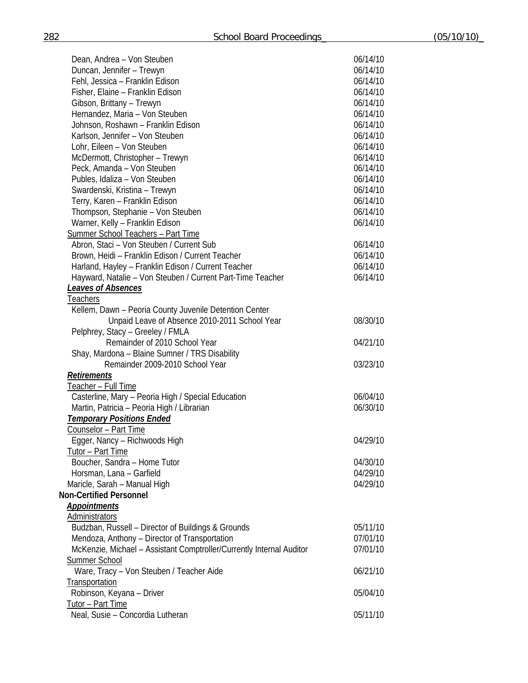| Dean, Andrea - Von Steuben                                           | 06/14/10 |
|----------------------------------------------------------------------|----------|
| Duncan, Jennifer - Trewyn                                            | 06/14/10 |
| Fehl, Jessica - Franklin Edison                                      | 06/14/10 |
| Fisher, Elaine - Franklin Edison                                     | 06/14/10 |
| Gibson, Brittany - Trewyn                                            | 06/14/10 |
| Hernandez, Maria - Von Steuben                                       | 06/14/10 |
| Johnson, Roshawn - Franklin Edison                                   | 06/14/10 |
| Karlson, Jennifer - Von Steuben                                      | 06/14/10 |
| Lohr, Eileen - Von Steuben                                           | 06/14/10 |
| McDermott, Christopher - Trewyn                                      | 06/14/10 |
| Peck, Amanda - Von Steuben                                           | 06/14/10 |
| Publes, Idaliza - Von Steuben                                        | 06/14/10 |
| Swardenski, Kristina - Trewyn                                        | 06/14/10 |
| Terry, Karen - Franklin Edison                                       | 06/14/10 |
| Thompson, Stephanie - Von Steuben                                    | 06/14/10 |
| Warner, Kelly - Franklin Edison                                      | 06/14/10 |
| <b>Summer School Teachers - Part Time</b>                            |          |
| Abron, Staci - Von Steuben / Current Sub                             | 06/14/10 |
| Brown, Heidi - Franklin Edison / Current Teacher                     | 06/14/10 |
| Harland, Hayley - Franklin Edison / Current Teacher                  | 06/14/10 |
| Hayward, Natalie - Von Steuben / Current Part-Time Teacher           | 06/14/10 |
|                                                                      |          |
| <b>Leaves of Absences</b>                                            |          |
| <u>Teachers</u>                                                      |          |
| Kellem, Dawn - Peoria County Juvenile Detention Center               |          |
| Unpaid Leave of Absence 2010-2011 School Year                        | 08/30/10 |
| Pelphrey, Stacy - Greeley / FMLA                                     |          |
| Remainder of 2010 School Year                                        | 04/21/10 |
| Shay, Mardona - Blaine Sumner / TRS Disability                       |          |
| Remainder 2009-2010 School Year                                      | 03/23/10 |
| <b>Retirements</b>                                                   |          |
| <u> Teacher – Full Time</u>                                          |          |
| Casterline, Mary - Peoria High / Special Education                   | 06/04/10 |
| Martin, Patricia - Peoria High / Librarian                           | 06/30/10 |
| <b>Temporary Positions Ended</b>                                     |          |
| <b>Counselor - Part Time</b>                                         |          |
| Egger, Nancy - Richwoods High                                        | 04/29/10 |
| Tutor - Part Time                                                    |          |
| Boucher, Sandra - Home Tutor                                         | 04/30/10 |
| Horsman, Lana - Garfield                                             | 04/29/10 |
| Maricle, Sarah - Manual High                                         | 04/29/10 |
| <b>Non-Certified Personnel</b>                                       |          |
| <b>Appointments</b>                                                  |          |
| Administrators                                                       |          |
| Budzban, Russell - Director of Buildings & Grounds                   | 05/11/10 |
| Mendoza, Anthony - Director of Transportation                        | 07/01/10 |
| McKenzie, Michael - Assistant Comptroller/Currently Internal Auditor | 07/01/10 |
| <b>Summer School</b>                                                 |          |
| Ware, Tracy - Von Steuben / Teacher Aide                             | 06/21/10 |
| Transportation                                                       |          |
| Robinson, Keyana - Driver                                            | 05/04/10 |
| Tutor - Part Time                                                    |          |
| Neal, Susie - Concordia Lutheran                                     | 05/11/10 |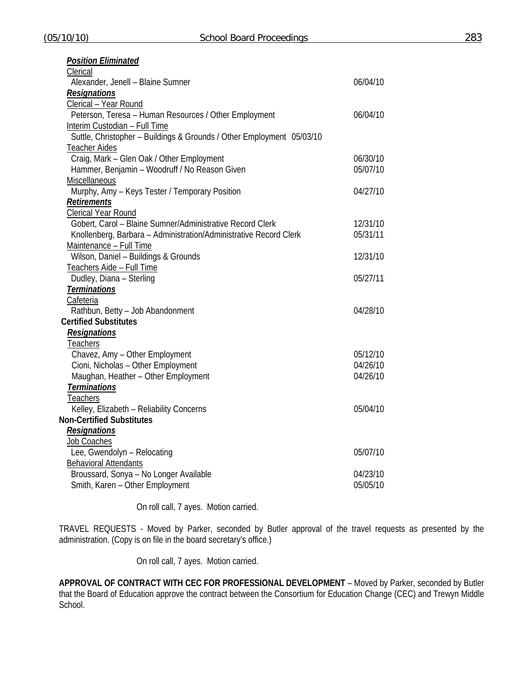| <b>Position Eliminated</b>                                            |          |
|-----------------------------------------------------------------------|----------|
| Clerical                                                              |          |
| Alexander, Jenell - Blaine Sumner                                     | 06/04/10 |
| <b>Resignations</b>                                                   |          |
| Clerical - Year Round                                                 |          |
| Peterson, Teresa - Human Resources / Other Employment                 | 06/04/10 |
| Interim Custodian - Full Time                                         |          |
| Suttle, Christopher - Buildings & Grounds / Other Employment 05/03/10 |          |
| <b>Teacher Aides</b>                                                  |          |
| Craig, Mark - Glen Oak / Other Employment                             | 06/30/10 |
| Hammer, Benjamin - Woodruff / No Reason Given                         | 05/07/10 |
| Miscellaneous                                                         |          |
| Murphy, Amy - Keys Tester / Temporary Position                        | 04/27/10 |
| <b>Retirements</b>                                                    |          |
| <b>Clerical Year Round</b>                                            |          |
| Gobert, Carol - Blaine Sumner/Administrative Record Clerk             | 12/31/10 |
| Knollenberg, Barbara - Administration/Administrative Record Clerk     | 05/31/11 |
| Maintenance - Full Time                                               |          |
| Wilson, Daniel - Buildings & Grounds                                  | 12/31/10 |
| Teachers Aide - Full Time                                             |          |
| Dudley, Diana - Sterling                                              | 05/27/11 |
| <b>Terminations</b>                                                   |          |
| Cafeteria                                                             |          |
| Rathbun, Betty - Job Abandonment                                      | 04/28/10 |
| <b>Certified Substitutes</b>                                          |          |
| <b>Resignations</b>                                                   |          |
| <b>Teachers</b>                                                       |          |
| Chavez, Amy - Other Employment                                        | 05/12/10 |
| Cioni, Nicholas - Other Employment                                    | 04/26/10 |
| Maughan, Heather - Other Employment                                   | 04/26/10 |
| <b>Terminations</b>                                                   |          |
| <b>Teachers</b>                                                       |          |
| Kelley, Elizabeth - Reliability Concerns                              | 05/04/10 |
| <b>Non-Certified Substitutes</b>                                      |          |
| <b>Resignations</b>                                                   |          |
| Job Coaches                                                           |          |
| Lee, Gwendolyn - Relocating                                           | 05/07/10 |
| <b>Behavioral Attendants</b>                                          |          |
| Broussard, Sonya - No Longer Available                                | 04/23/10 |
| Smith, Karen - Other Employment                                       | 05/05/10 |

On roll call, 7 ayes. Motion carried.

TRAVEL REQUESTS - Moved by Parker, seconded by Butler approval of the travel requests as presented by the administration. (Copy is on file in the board secretary's office.)

On roll call, 7 ayes. Motion carried.

**APPROVAL OF CONTRACT WITH CEC FOR PROFESSIONAL DEVELOPMENT** – Moved by Parker, seconded by Butler that the Board of Education approve the contract between the Consortium for Education Change (CEC) and Trewyn Middle School.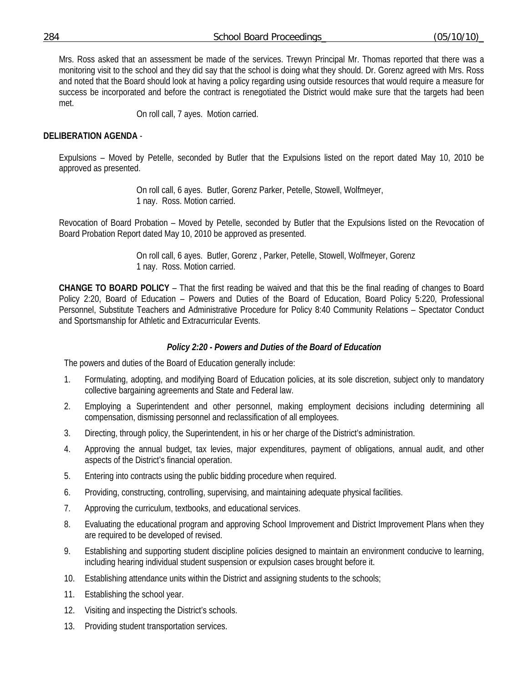Mrs. Ross asked that an assessment be made of the services. Trewyn Principal Mr. Thomas reported that there was a monitoring visit to the school and they did say that the school is doing what they should. Dr. Gorenz agreed with Mrs. Ross and noted that the Board should look at having a policy regarding using outside resources that would require a measure for success be incorporated and before the contract is renegotiated the District would make sure that the targets had been met.

On roll call, 7 ayes. Motion carried.

# **DELIBERATION AGENDA** -

Expulsions – Moved by Petelle, seconded by Butler that the Expulsions listed on the report dated May 10, 2010 be approved as presented.

> On roll call, 6 ayes. Butler, Gorenz Parker, Petelle, Stowell, Wolfmeyer, 1 nay. Ross. Motion carried.

Revocation of Board Probation – Moved by Petelle, seconded by Butler that the Expulsions listed on the Revocation of Board Probation Report dated May 10, 2010 be approved as presented.

> On roll call, 6 ayes. Butler, Gorenz , Parker, Petelle, Stowell, Wolfmeyer, Gorenz 1 nay. Ross. Motion carried.

**CHANGE TO BOARD POLICY** – That the first reading be waived and that this be the final reading of changes to Board Policy 2:20, Board of Education – Powers and Duties of the Board of Education, Board Policy 5:220, Professional Personnel, Substitute Teachers and Administrative Procedure for Policy 8:40 Community Relations – Spectator Conduct and Sportsmanship for Athletic and Extracurricular Events.

## *Policy 2:20 - Powers and Duties of the Board of Education*

The powers and duties of the Board of Education generally include:

- 1. Formulating, adopting, and modifying Board of Education policies, at its sole discretion, subject only to mandatory collective bargaining agreements and State and Federal law.
- 2. Employing a Superintendent and other personnel, making employment decisions including determining all compensation, dismissing personnel and reclassification of all employees.
- 3. Directing, through policy, the Superintendent, in his or her charge of the District's administration.
- 4. Approving the annual budget, tax levies, major expenditures, payment of obligations, annual audit, and other aspects of the District's financial operation.
- 5. Entering into contracts using the public bidding procedure when required.
- 6. Providing, constructing, controlling, supervising, and maintaining adequate physical facilities.
- 7. Approving the curriculum, textbooks, and educational services.
- 8. Evaluating the educational program and approving School Improvement and District Improvement Plans when they are required to be developed of revised.
- 9. Establishing and supporting student discipline policies designed to maintain an environment conducive to learning, including hearing individual student suspension or expulsion cases brought before it.
- 10. Establishing attendance units within the District and assigning students to the schools;
- 11. Establishing the school year.
- 12. Visiting and inspecting the District's schools.
- 13. Providing student transportation services.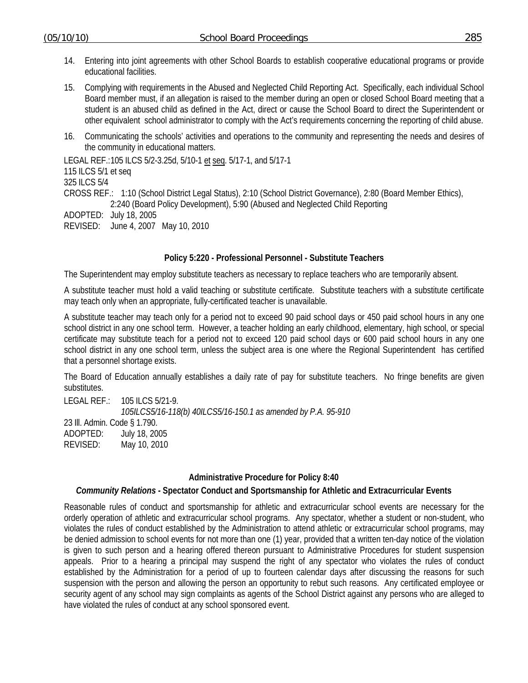- 14. Entering into joint agreements with other School Boards to establish cooperative educational programs or provide educational facilities.
- 15. Complying with requirements in the Abused and Neglected Child Reporting Act. Specifically, each individual School Board member must, if an allegation is raised to the member during an open or closed School Board meeting that a student is an abused child as defined in the Act, direct or cause the School Board to direct the Superintendent or other equivalent school administrator to comply with the Act's requirements concerning the reporting of child abuse.
- 16. Communicating the schools' activities and operations to the community and representing the needs and desires of the community in educational matters.

LEGAL REF.: 105 ILCS 5/2-3.25d, 5/10-1 et seq. 5/17-1, and 5/17-1 115 ILCS 5/1 et seq 325 ILCS 5/4 CROSS REF.: 1:10 (School District Legal Status), 2:10 (School District Governance), 2:80 (Board Member Ethics), 2:240 (Board Policy Development), 5:90 (Abused and Neglected Child Reporting ADOPTED: July 18, 2005 REVISED: June 4, 2007 May 10, 2010

## **Policy 5:220 - Professional Personnel - Substitute Teachers**

The Superintendent may employ substitute teachers as necessary to replace teachers who are temporarily absent.

A substitute teacher must hold a valid teaching or substitute certificate. Substitute teachers with a substitute certificate may teach only when an appropriate, fully-certificated teacher is unavailable.

A substitute teacher may teach only for a period not to exceed 90 paid school days or 450 paid school hours in any one school district in any one school term. However, a teacher holding an early childhood, elementary, high school, or special certificate may substitute teach for a period not to exceed 120 paid school days or 600 paid school hours in any one school district in any one school term, unless the subject area is one where the Regional Superintendent has certified that a personnel shortage exists.

The Board of Education annually establishes a daily rate of pay for substitute teachers. No fringe benefits are given substitutes.

LEGAL REF.: 105 ILCS 5/21-9. *105ILCS5/16-118(b) 40ILCS5/16-150.1 as amended by P.A. 95-910*  23 Ill. Admin. Code § 1.790. ADOPTED: July 18, 2005 REVISED: May 10, 2010

#### **Administrative Procedure for Policy 8:40**

#### *Community Relations -* **Spectator Conduct and Sportsmanship for Athletic and Extracurricular Events**

Reasonable rules of conduct and sportsmanship for athletic and extracurricular school events are necessary for the orderly operation of athletic and extracurricular school programs. Any spectator, whether a student or non-student, who violates the rules of conduct established by the Administration to attend athletic or extracurricular school programs, may be denied admission to school events for not more than one (1) year, provided that a written ten-day notice of the violation is given to such person and a hearing offered thereon pursuant to Administrative Procedures for student suspension appeals. Prior to a hearing a principal may suspend the right of any spectator who violates the rules of conduct established by the Administration for a period of up to fourteen calendar days after discussing the reasons for such suspension with the person and allowing the person an opportunity to rebut such reasons. Any certificated employee or security agent of any school may sign complaints as agents of the School District against any persons who are alleged to have violated the rules of conduct at any school sponsored event.